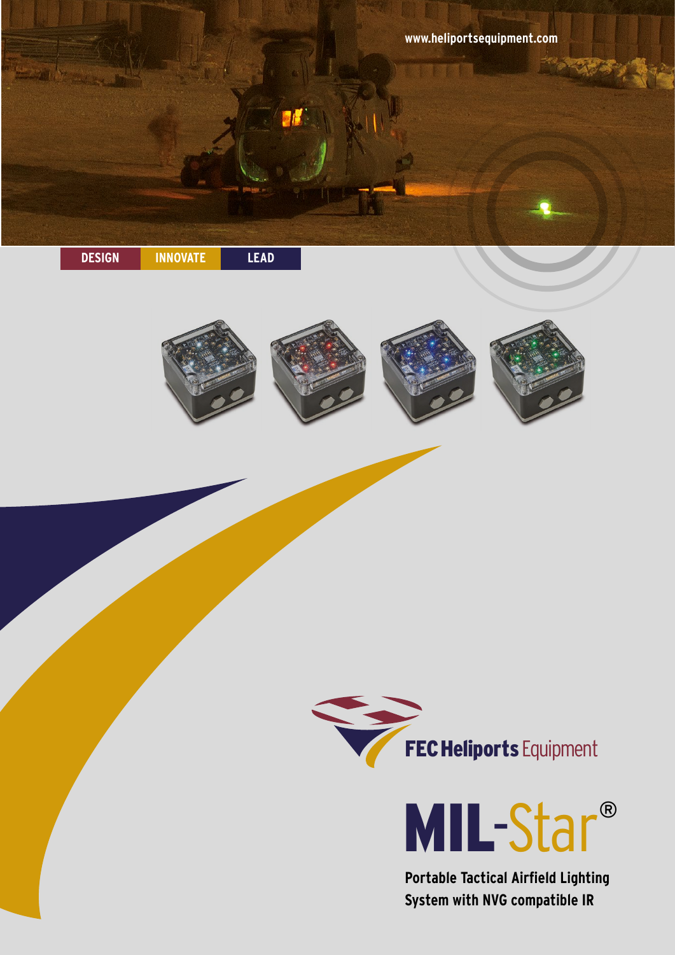





**Portable Tactical Airfield Lighting System with NVG compatible IR**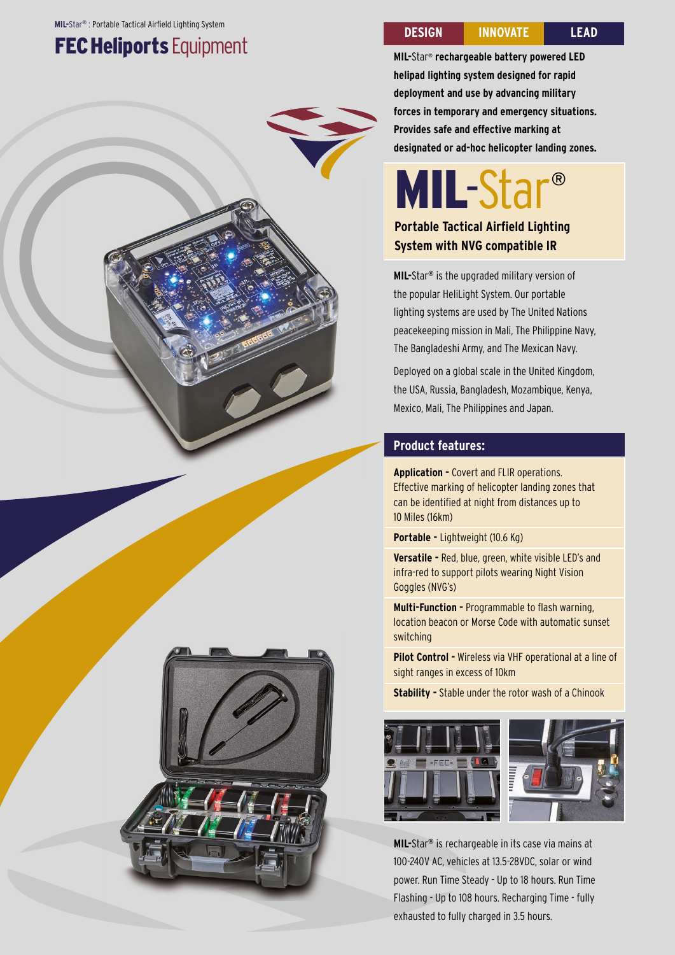### **FEC Heliports Equipment**

**DESIGN INNOVATE LEAD**

**MIL-**Star® **rechargeable battery powered LED helipad lighting system designed for rapid deployment and use by advancing military forces in temporary and emergency situations. Provides safe and effective marking at designated or ad-hoc helicopter landing zones.**

## MIL-Star®

#### **Portable Tactical Airfield Lighting System with NVG compatible IR**

**MIL-**Star® is the upgraded military version of the popular HeliLight System. Our portable lighting systems are used by The United Nations peacekeeping mission in Mali, The Philippine Navy, The Bangladeshi Army, and The Mexican Navy.

Deployed on a global scale in the United Kingdom, the USA, Russia, Bangladesh, Mozambique, Kenya, Mexico, Mali, The Philippines and Japan.

#### **Product features:**

**Application -** Covert and FLIR operations. Effective marking of helicopter landing zones that can be identified at night from distances up to 10 Miles (16km)

**Portable -** Lightweight (10.6 Kg)

**Versatile -** Red, blue, green, white visible LED's and infra-red to support pilots wearing Night Vision Goggles (NVG's)

**Multi-Function -** Programmable to flash warning, location beacon or Morse Code with automatic sunset switching

**Pilot Control -** Wireless via VHF operational at a line of sight ranges in excess of 10km

**Stability -** Stable under the rotor wash of a Chinook



**MIL-**Star® is rechargeable in its case via mains at 100-240V AC, vehicles at 13.5-28VDC, solar or wind power. Run Time Steady - Up to 18 hours. Run Time Flashing - Up to 108 hours. Recharging Time - fully exhausted to fully charged in 3.5 hours.

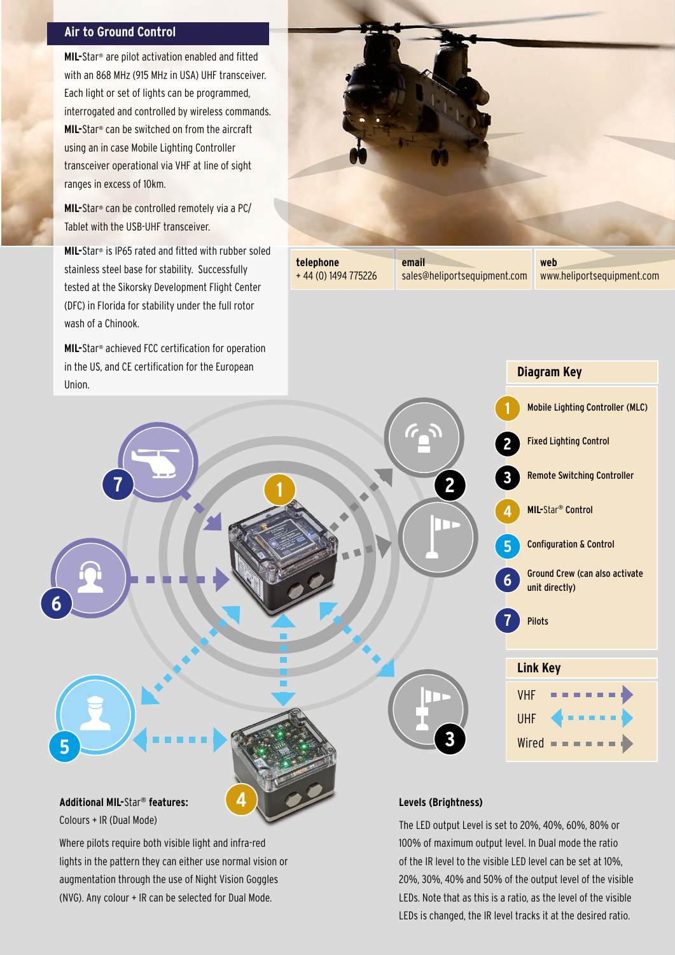#### **Air to Ground Control**

**MIL-**Star® are pilot activation enabled and fitted with an 868 MHz (915 MHz in USA) UHF transceiver. Each light or set of lights can be programmed, interrogated and controlled by wireless commands. **MIL-**Star® can be switched on from the aircraft using an in case Mobile Lighting Controller transceiver operational via VHF at line of sight ranges in excess of 10km.

**MIL-**Star® can be controlled remotely via a PC/ Tablet with the USB-UHF transceiver.

**MIL-**Star® is IP65 rated and fitted with rubber soled stainless steel base for stability. Successfully tested at the Sikorsky Development Flight Center (DFC) in Florida for stability under the full rotor wash of a Chinook.

**MIL-**Star® achieved FCC certification for operation in the US, and CE certification for the European Union.

Colours + IR (Dual Mode)

Where pilots require both visible light and infra-red

lights in the pattern they can either use normal vision or augmentation through the use of Night Vision Goggles (NVG). Any colour + IR can be selected for Dual Mode.



**telephone**  + 44 (0) 1494 775226

sales@heliportsequipment.com

**web**  www.heliportsequipment.com

Mobile Lighting Controller (MLC)

Fixed Lighting Control

**Diagram Key**

**MIL-**Star® Control

unit directly)

Configuration & Control

Ground Crew (can also activate

Remote Switching Controller



The LED output Level is set to 20%, 40%, 60%, 80% or 100% of maximum output level. In Dual mode the ratio of the IR level to the visible LED level can be set at 10%, 20%, 30%, 40% and 50% of the output level of the visible LEDs. Note that as this is a ratio, as the level of the visible LEDs is changed, the IR level tracks it at the desired ratio.

**Link Key**

Pilots

VHF

UHF

Wired  $\blacksquare$